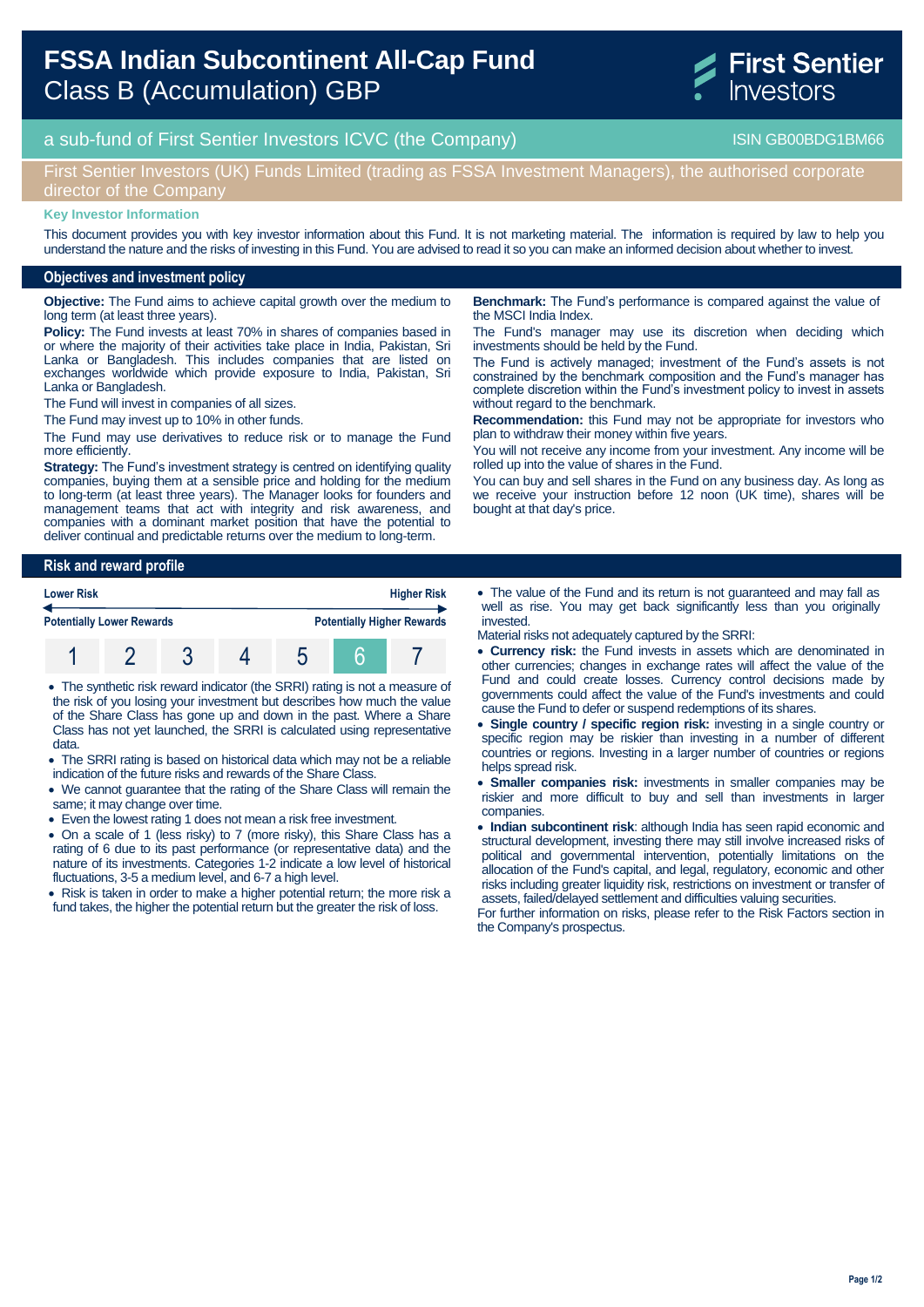# **FSSA Indian Subcontinent All-Cap Fund**  Class B (Accumulation) GBP



a sub-fund of First Sentier Investors ICVC (the Company) and the Company ISIN GB00BDG1BM66

## First Sentier Investors (UK) Funds Limited (trading as FSSA Investment Managers), the authorised corporate director of the Company

#### **Key Investor Information**

This document provides you with key investor information about this Fund. It is not marketing material. The information is required by law to help you understand the nature and the risks of investing in this Fund. You are advised to read it so you can make an informed decision about whether to invest.

### **Objectives and investment policy**

**Objective:** The Fund aims to achieve capital growth over the medium to long term (at least three years).

**Policy:** The Fund invests at least 70% in shares of companies based in or where the majority of their activities take place in India, Pakistan, Sri Lanka or Bangladesh. This includes companies that are listed on exchanges worldwide which provide exposure to India, Pakistan, Sri Lanka or Bangladesh.

The Fund will invest in companies of all sizes.

The Fund may invest up to 10% in other funds.

The Fund may use derivatives to reduce risk or to manage the Fund more efficiently.

**Strategy:** The Fund's investment strategy is centred on identifying quality companies, buying them at a sensible price and holding for the medium to long-term (at least three years). The Manager looks for founders and management teams that act with integrity and risk awareness, and companies with a dominant market position that have the potential to deliver continual and predictable returns over the medium to long-term.

## **Risk and reward profile Lower Risk Higher Risk Potentially Lower Rewards Potentially Higher Rewards** 1 2 3 4 5 6 7

- The synthetic risk reward indicator (the SRRI) rating is not a measure of the risk of you losing your investment but describes how much the value of the Share Class has gone up and down in the past. Where a Share Class has not yet launched, the SRRI is calculated using representative data.
- The SRRI rating is based on historical data which may not be a reliable indication of the future risks and rewards of the Share Class.
- We cannot guarantee that the rating of the Share Class will remain the same; it may change over time.
- Even the lowest rating 1 does not mean a risk free investment.
- On a scale of 1 (less risky) to 7 (more risky), this Share Class has a rating of 6 due to its past performance (or representative data) and the nature of its investments. Categories 1-2 indicate a low level of historical fluctuations, 3-5 a medium level, and 6-7 a high level.

• Risk is taken in order to make a higher potential return; the more risk a fund takes, the higher the potential return but the greater the risk of loss.

**Benchmark:** The Fund's performance is compared against the value of the MSCI India Index.

The Fund's manager may use its discretion when deciding which investments should be held by the Fund.

The Fund is actively managed; investment of the Fund's assets is not constrained by the benchmark composition and the Fund's manager has complete discretion within the Fund's investment policy to invest in assets without regard to the benchmark.

**Recommendation:** this Fund may not be appropriate for investors who plan to withdraw their money within five years.

You will not receive any income from your investment. Any income will be rolled up into the value of shares in the Fund.

You can buy and sell shares in the Fund on any business day. As long as we receive your instruction before 12 noon (UK time), shares will be bought at that day's price.

 The value of the Fund and its return is not guaranteed and may fall as well as rise. You may get back significantly less than you originally invested.

Material risks not adequately captured by the SRRI:

- **Currency risk:** the Fund invests in assets which are denominated in other currencies; changes in exchange rates will affect the value of the Fund and could create losses. Currency control decisions made by governments could affect the value of the Fund's investments and could cause the Fund to defer or suspend redemptions of its shares.
- **Single country / specific region risk:** investing in a single country or specific region may be riskier than investing in a number of different countries or regions. Investing in a larger number of countries or regions helps spread risk.
- **Smaller companies risk:** investments in smaller companies may be riskier and more difficult to buy and sell than investments in larger companies.
- **Indian subcontinent risk**: although India has seen rapid economic and structural development, investing there may still involve increased risks of political and governmental intervention, potentially limitations on the allocation of the Fund's capital, and legal, regulatory, economic and other risks including greater liquidity risk, restrictions on investment or transfer of assets, failed/delayed settlement and difficulties valuing securities.

For further information on risks, please refer to the Risk Factors section in the Company's prospectus.